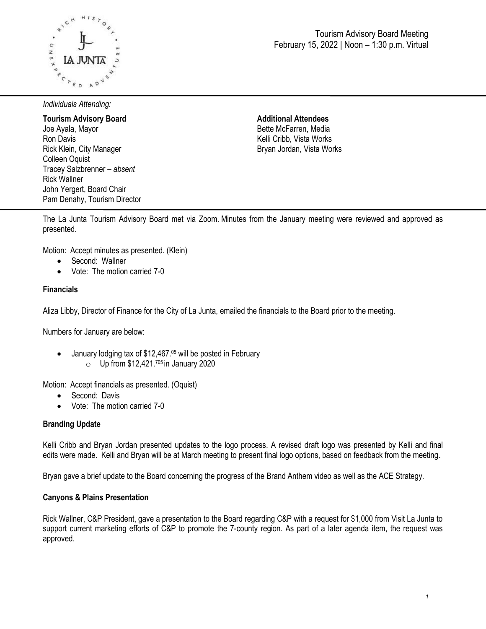

*Individuals Attending:*

**Tourism Advisory Board**  Joe Ayala, Mayor Ron Davis Rick Klein, City Manager Colleen Oquist Tracey Salzbrenner – *absent* Rick Wallner John Yergert, Board Chair Pam Denahy, Tourism Director **Additional Attendees** Bette McFarren, Media Kelli Cribb, Vista Works Bryan Jordan, Vista Works

The La Junta Tourism Advisory Board met via Zoom. Minutes from the January meeting were reviewed and approved as presented.

Motion: Accept minutes as presented. (Klein)

- Second: Wallner
- Vote: The motion carried 7-0

# **Financials**

Aliza Libby, Director of Finance for the City of La Junta, emailed the financials to the Board prior to the meeting.

Numbers for January are below:

• January lodging tax of \$12,467.<sup>05</sup> will be posted in February  $\circ$  Up from \$12,421.<sup>705</sup> in January 2020

Motion: Accept financials as presented. (Oquist)

- Second: Davis
- Vote: The motion carried 7-0

#### **Branding Update**

Kelli Cribb and Bryan Jordan presented updates to the logo process. A revised draft logo was presented by Kelli and final edits were made. Kelli and Bryan will be at March meeting to present final logo options, based on feedback from the meeting.

Bryan gave a brief update to the Board concerning the progress of the Brand Anthem video as well as the ACE Strategy.

#### **Canyons & Plains Presentation**

Rick Wallner, C&P President, gave a presentation to the Board regarding C&P with a request for \$1,000 from Visit La Junta to support current marketing efforts of C&P to promote the 7-county region. As part of a later agenda item, the request was approved.